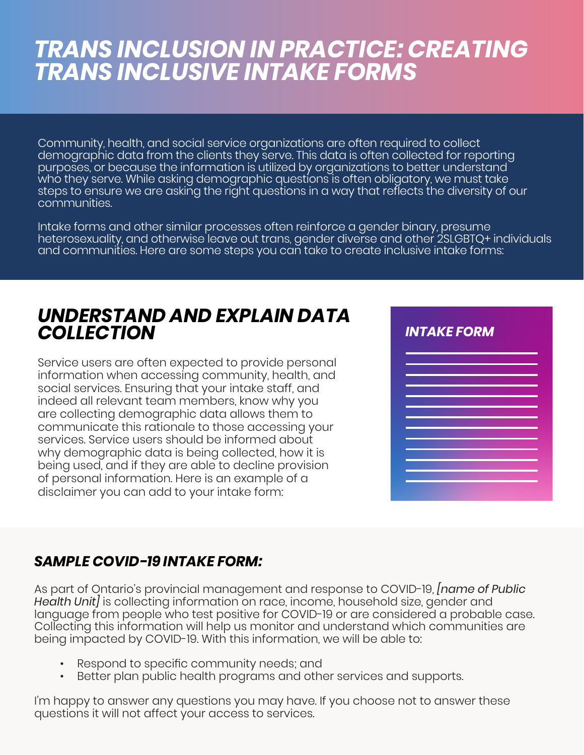# *TRANS INCLUSION IN PRACTICE: CREATING TRANS INCLUSIVE INTAKE FORMS*

Community, health, and social service organizations are often required to collect demographic data from the clients they serve. This data is often collected for reporting purposes, or because the information is utilized by organizations to better understand who they serve. While asking demographic questions is often obligatory, we must take steps to ensure we are asking the right questions in a way that reflects the diversity of our communities.

Intake forms and other similar processes often reinforce a gender binary, presume heterosexuality, and otherwise leave out trans, gender diverse and other 2SLGBTQ+ individuals and communities. Here are some steps you can take to create inclusive intake forms:

## *UNDERSTAND AND EXPLAIN DATA COLLECTION*

Service users are often expected to provide personal information when accessing community, health, and social services. Ensuring that your intake staff, and indeed all relevant team members, know why you are collecting demographic data allows them to communicate this rationale to those accessing your services. Service users should be informed about why demographic data is being collected, how it is being used, and if they are able to decline provision of personal information. Here is an example of a disclaimer you can add to your intake form:



## *SAMPLE COVID-19 INTAKE FORM:*

As part of Ontario's provincial management and response to COVID-19, *[name of Public Health Unit]* is collecting information on race, income, household size, gender and language from people who test positive for COVID-19 or are considered a probable case. Collecting this information will help us monitor and understand which communities are being impacted by COVID-19. With this information, we will be able to:

- Respond to specific community needs; and
- Better plan public health programs and other services and supports.

I'm happy to answer any questions you may have. If you choose not to answer these questions it will not affect your access to services.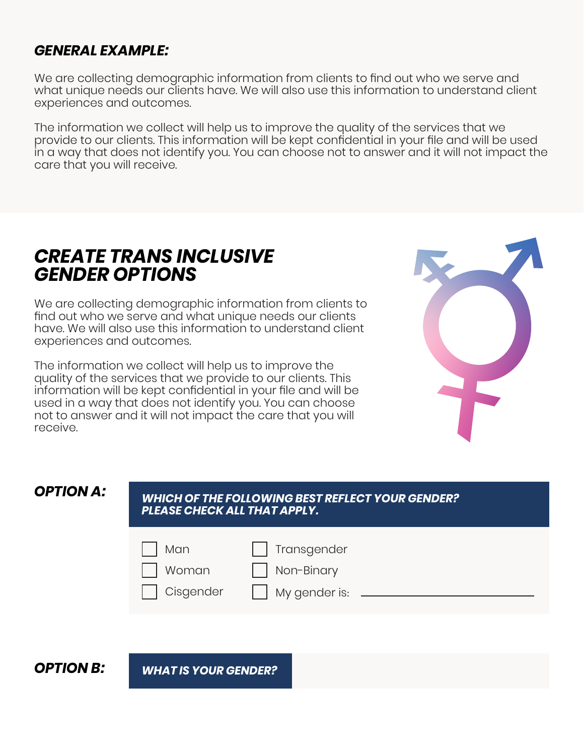### *GENERAL EXAMPLE:*

We are collecting demographic information from clients to find out who we serve and what unique needs our clients have. We will also use this information to understand client experiences and outcomes.

The information we collect will help us to improve the quality of the services that we provide to our clients. This information will be kept confidential in your file and will be used in a way that does not identify you. You can choose not to answer and it will not impact the care that you will receive.

## *CREATE TRANS INCLUSIVE GENDER OPTIONS*

We are collecting demographic information from clients to find out who we serve and what unique needs our clients have. We will also use this information to understand client experiences and outcomes.

The information we collect will help us to improve the quality of the services that we provide to our clients. This information will be kept confidential in your file and will be used in a way that does not identify you. You can choose not to answer and it will not impact the care that you will receive.



### *OPTION A:*

#### *WHICH OF THE FOLLOWING BEST REFLECT YOUR GENDER? PLEASE CHECK ALL THAT APPLY.*



*OPTION B: WHAT IS YOUR GENDER?*